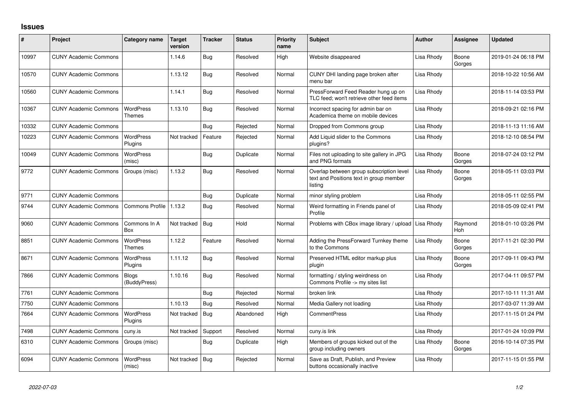## **Issues**

| ∦     | Project                      | Category name                     | Target<br>version | <b>Tracker</b> | <b>Status</b> | Priority<br>name | <b>Subject</b>                                                                                 | <b>Author</b> | <b>Assignee</b> | <b>Updated</b>      |
|-------|------------------------------|-----------------------------------|-------------------|----------------|---------------|------------------|------------------------------------------------------------------------------------------------|---------------|-----------------|---------------------|
| 10997 | <b>CUNY Academic Commons</b> |                                   | 1.14.6            | Bug            | Resolved      | High             | Website disappeared                                                                            | Lisa Rhody    | Boone<br>Gorges | 2019-01-24 06:18 PM |
| 10570 | <b>CUNY Academic Commons</b> |                                   | 1.13.12           | <b>Bug</b>     | Resolved      | Normal           | CUNY DHI landing page broken after<br>menu bar                                                 | Lisa Rhody    |                 | 2018-10-22 10:56 AM |
| 10560 | <b>CUNY Academic Commons</b> |                                   | 1.14.1            | Bug            | Resolved      | Normal           | PressForward Feed Reader hung up on<br>TLC feed: won't retrieve other feed items               | Lisa Rhody    |                 | 2018-11-14 03:53 PM |
| 10367 | <b>CUNY Academic Commons</b> | <b>WordPress</b><br>Themes        | 1.13.10           | <b>Bug</b>     | Resolved      | Normal           | Incorrect spacing for admin bar on<br>Academica theme on mobile devices                        | Lisa Rhody    |                 | 2018-09-21 02:16 PM |
| 10332 | <b>CUNY Academic Commons</b> |                                   |                   | Bug            | Rejected      | Normal           | Dropped from Commons group                                                                     | Lisa Rhody    |                 | 2018-11-13 11:16 AM |
| 10223 | <b>CUNY Academic Commons</b> | <b>WordPress</b><br>Plugins       | Not tracked       | Feature        | Rejected      | Normal           | Add Liquid slider to the Commons<br>plugins?                                                   | Lisa Rhody    |                 | 2018-12-10 08:54 PM |
| 10049 | <b>CUNY Academic Commons</b> | <b>WordPress</b><br>(misc)        |                   | Bug            | Duplicate     | Normal           | Files not uploading to site gallery in JPG<br>and PNG formats                                  | Lisa Rhody    | Boone<br>Gorges | 2018-07-24 03:12 PM |
| 9772  | <b>CUNY Academic Commons</b> | Groups (misc)                     | 1.13.2            | Bug            | Resolved      | Normal           | Overlap between group subscription level<br>text and Positions text in group member<br>listing | Lisa Rhody    | Boone<br>Gorges | 2018-05-11 03:03 PM |
| 9771  | <b>CUNY Academic Commons</b> |                                   |                   | Bug            | Duplicate     | Normal           | minor styling problem                                                                          | Lisa Rhody    |                 | 2018-05-11 02:55 PM |
| 9744  | <b>CUNY Academic Commons</b> | <b>Commons Profile</b>            | 1.13.2            | Bug            | Resolved      | Normal           | Weird formatting in Friends panel of<br>Profile                                                | Lisa Rhody    |                 | 2018-05-09 02:41 PM |
| 9060  | <b>CUNY Academic Commons</b> | Commons In A<br>Box               | Not tracked       | Bug            | Hold          | Normal           | Problems with CBox image library / upload                                                      | Lisa Rhody    | Raymond<br>Hoh  | 2018-01-10 03:26 PM |
| 8851  | <b>CUNY Academic Commons</b> | <b>WordPress</b><br><b>Themes</b> | 1.12.2            | Feature        | Resolved      | Normal           | Adding the PressForward Turnkey theme<br>to the Commons                                        | Lisa Rhody    | Boone<br>Gorges | 2017-11-21 02:30 PM |
| 8671  | <b>CUNY Academic Commons</b> | <b>WordPress</b><br>Plugins       | 1.11.12           | <b>Bug</b>     | Resolved      | Normal           | Preserved HTML editor markup plus<br>plugin                                                    | Lisa Rhody    | Boone<br>Gorges | 2017-09-11 09:43 PM |
| 7866  | <b>CUNY Academic Commons</b> | <b>Blogs</b><br>(BuddyPress)      | 1.10.16           | Bug            | Resolved      | Normal           | formatting / styling weirdness on<br>Commons Profile -> my sites list                          | Lisa Rhody    |                 | 2017-04-11 09:57 PM |
| 7761  | <b>CUNY Academic Commons</b> |                                   |                   | Bug            | Rejected      | Normal           | broken link                                                                                    | Lisa Rhody    |                 | 2017-10-11 11:31 AM |
| 7750  | <b>CUNY Academic Commons</b> |                                   | 1.10.13           | Bug            | Resolved      | Normal           | Media Gallery not loading                                                                      | Lisa Rhody    |                 | 2017-03-07 11:39 AM |
| 7664  | <b>CUNY Academic Commons</b> | <b>WordPress</b><br>Plugins       | Not tracked       | Bug            | Abandoned     | High             | <b>CommentPress</b>                                                                            | Lisa Rhody    |                 | 2017-11-15 01:24 PM |
| 7498  | <b>CUNY Academic Commons</b> | cuny.is                           | Not tracked       | Support        | Resolved      | Normal           | cuny.is link                                                                                   | Lisa Rhody    |                 | 2017-01-24 10:09 PM |
| 6310  | <b>CUNY Academic Commons</b> | Groups (misc)                     |                   | Bug            | Duplicate     | High             | Members of groups kicked out of the<br>group including owners                                  | Lisa Rhody    | Boone<br>Gorges | 2016-10-14 07:35 PM |
| 6094  | <b>CUNY Academic Commons</b> | <b>WordPress</b><br>(misc)        | Not tracked       | Bug            | Rejected      | Normal           | Save as Draft, Publish, and Preview<br>buttons occasionally inactive                           | Lisa Rhody    |                 | 2017-11-15 01:55 PM |